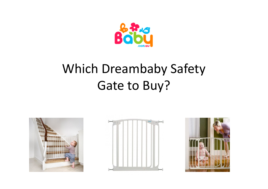

# Which Dreambaby Safety Gate to Buy?





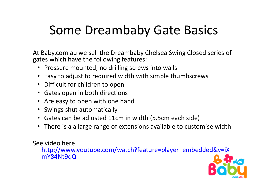## Some Dreambaby Gate Basics

At Baby.com.au we sell the Dreambaby Chelsea Swing Closed series of gates which have the following features:

- Pressure mounted, no drilling screws into walls
- $\bullet$ Easy to adjust to required width with simple thumbscrews
- Difficult for children to open
- Gates open in both directions
- •Are easy to open with one hand
- Swings shut automatically
- Gates can be adjusted 11cm in width (5.5cm each side)
- There is a a large range of extensions available to customise width

See video here

 http://www.youtube.com/watch?feature=player\_embedded&v=iXmY84Nt9qQ

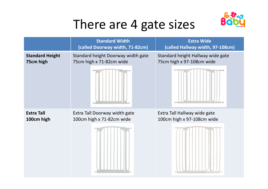

## There are 4 gate sizes

|                        | <b>Standard Width</b><br>(called Doorway width, 71-82cm) | <b>Extra Wide</b><br>(called Hallway width, 97-108cm) |  |
|------------------------|----------------------------------------------------------|-------------------------------------------------------|--|
| <b>Standard Height</b> | Standard height Doorway width gate                       | Standard height Hallway wide gate                     |  |
| 75cm high              | 75cm high x 71-82cm wide                                 | 75cm high x 97-108cm wide                             |  |
| <b>Extra Tall</b>      | Extra Tall Doorway width gate                            | Extra Tall Hallway wide gate                          |  |
| 100cm high             | 100cm high x 71-82cm wide                                | 100cm high x 97-108cm wide                            |  |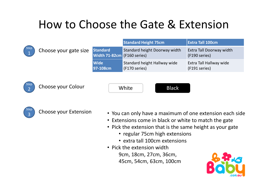### How to Choose the Gate & Extension



|                             |                       |                                                | <b>Standard Height 75cm</b>                   | <b>Extra Tall 100cm</b>                          |
|-----------------------------|-----------------------|------------------------------------------------|-----------------------------------------------|--------------------------------------------------|
| $\mathop{\rm kep}\nolimits$ | Choose your gate size | <b>Standard</b><br>Width 71-82cm (F160 series) | Standard height Doorway width                 | <b>Extra Tall Doorway width</b><br>(F190 series) |
|                             |                       | <b>Wide</b><br>97-108cm                        | Standard height Hallway wide<br>(F170 series) | Extra Tall Hallway wide<br>(F191 series)         |



Choose your Colour **Choose your Colour** Music Choose **Black** 





- Choose your Extension You can only have a maximum of one extension each side
	- Extensions come in black or white to match the gate
	- Pick the extension that is the same height as your gate
		- regular 75cm high extensions
		- extra tall 100cm extensions
	- Pick the extension width 9cm, 18cm, 27cm, 36cm,45cm, 54cm, 63cm, 100cm

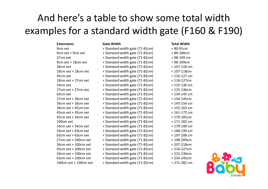### And here's a table to show some total width examples for a standard width gate (F160 & F190)

| <b>Extensions</b>     | <b>Gate Width</b>               | <b>Total Width</b> |
|-----------------------|---------------------------------|--------------------|
| 9cm ext               | + Standard width gate (71-82cm) | $= 80 - 91$ cm     |
| 9cm ext + 9cm ext     | + Standard width gate (71-82cm) | $= 89 - 100$ cm    |
| 27cm ext              | + Standard width gate (71-82cm) | $= 98 - 109$ cm    |
| 9cm ext + 18cm ext    | + Standard width gate (71-82cm) | $= 98 - 109$ cm    |
| 36cm ext              | + Standard width gate (71-82cm) | $= 107 - 118$ cm   |
| 18cm ext + 18cm ext   | + Standard width gate (71-82cm) | $= 107 - 118$ cm   |
| 45cm ext              | + Standard width gate (71-82cm) | $= 116 - 127$ cm   |
| 18cm ext + 27cm ext   | + Standard width gate (71-82cm) | $= 116 - 127$ cm   |
| 54cm ext              | + Standard width gate (71-82cm) | $= 125 - 136$ cm   |
| 27cm ext + 27cm ext   | + Standard width gate (71-82cm) | $= 125 - 136$ cm   |
| 63cm ext              | + Standard width gate (71-82cm) | $= 134 - 145$ cm   |
| 27cm ext + 36cm ext   | + Standard width gate (71-82cm) | $= 134 - 145$ cm   |
| 36cm ext + 36cm ext   | + Standard width gate (71-82cm) | $= 143 - 154$ cm   |
| 36cm ext + 45cm ext   | + Standard width gate (71-82cm) | $= 152 - 163$ cm   |
| 45cm ext + 45cm ext   | + Standard width gate (71-82cm) | $= 161 - 172$ cm   |
| 45cm ext + 54cm ext   | + Standard width gate (71-82cm) | $= 170 - 181$ cm   |
| 100cm ext             | + Standard width gate (71-82cm) | $= 171 - 182$ cm   |
| 54cm ext + 54cm ext   | + Standard width gate (71-82cm) | $= 179 - 190$ cm   |
| 54cm ext + 63cm ext   | + Standard width gate (71-82cm) | $= 188 - 199$ cm   |
| 63cm ext + 63cm ext   | + Standard width gate (71-82cm) | $= 197 - 208$ cm   |
| 27cm ext + 100cm ext  | + Standard width gate (71-82cm) | $= 198 - 209$ cm   |
| 36cm ext + 100cm ext  | + Standard width gate (71-82cm) | $= 207 - 218$ cm   |
| 45cm ext + 100cm ext  | + Standard width gate (71-82cm) | $= 216 - 227$ cm   |
| 54cm ext + 100cm ext  | + Standard width gate (71-82cm) | $= 225 - 236$ cm   |
| 63cm ext + 100cm ext  | + Standard width gate (71-82cm) | $= 234 - 245$ cm   |
| 100cm ext + 100cm ext | + Standard width gate (71-82cm) | $= 271 - 282$ cm   |
|                       |                                 |                    |

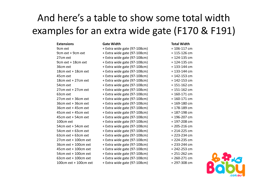### And here's a table to show some total width examples for an extra wide gate (F170 & F191)

| <b>Extensions</b>        | <b>Gate Width</b>            | <b>Total Width</b> |
|--------------------------|------------------------------|--------------------|
| 9cm ext                  | + Extra wide gate (97-108cm) | $= 106 - 117$ cm   |
| 9cm ext + 9cm ext        | + Extra wide gate (97-108cm) | $= 115 - 126$ cm   |
| 27cm ext                 | + Extra wide gate (97-108cm) | $= 124 - 135$ cm   |
| 9cm ext + 18cm ext       | + Extra wide gate (97-108cm) | $= 124 - 135$ cm   |
| 36cm ext                 | + Extra wide gate (97-108cm) | $= 133 - 144$ cm   |
| 18cm ext + 18cm ext      | + Extra wide gate (97-108cm) | $= 133 - 144$ cm   |
| 45cm ext                 | + Extra wide gate (97-108cm) | $= 142 - 153$ cm   |
| 18cm ext + 27cm ext      | + Extra wide gate (97-108cm) | $= 142 - 153$ cm   |
| 54cm ext                 | + Extra wide gate (97-108cm) | $= 151 - 162$ cm   |
| $27cm$ ext + 27 $cm$ ext | + Extra wide gate (97-108cm) | $= 151 - 162$ cm   |
| 63cm ext                 | + Extra wide gate (97-108cm) | $= 160 - 171$ cm   |
| 27cm ext + 36cm ext      | + Extra wide gate (97-108cm) | $= 160 - 171$ cm   |
| 36cm ext + 36cm ext      | + Extra wide gate (97-108cm) | $= 169 - 180$ cm   |
| 36cm ext + 45cm ext      | + Extra wide gate (97-108cm) | $= 178 - 189$ cm   |
| $45cm$ ext + 45cm ext    | + Extra wide gate (97-108cm) | $= 187 - 198$ cm   |
| 45cm ext + 54cm ext      | + Extra wide gate (97-108cm) | $= 196 - 207$ cm   |
| 100cm ext                | + Extra wide gate (97-108cm) | $= 197 - 208$ cm   |
| 54cm ext + 54cm ext      | + Extra wide gate (97-108cm) | $= 205 - 216$ cm   |
| 54cm ext + 63cm ext      | + Extra wide gate (97-108cm) | $= 214 - 225$ cm   |
| $63cm$ ext + 63cm ext    | + Extra wide gate (97-108cm) | $= 223 - 234$ cm   |
| $27cm$ ext + 100cm ext   | + Extra wide gate (97-108cm) | $= 224 - 235$ cm   |
| 36cm ext + 100cm ext     | + Extra wide gate (97-108cm) | $= 233 - 244$ cm   |
| $45cm$ ext + 100cm ext   | + Extra wide gate (97-108cm) | $= 242 - 253$ cm   |
| 54cm ext + 100cm ext     | + Extra wide gate (97-108cm) | $= 251 - 262$ cm   |
| $63$ cm ext + 100cm ext  | + Extra wide gate (97-108cm) | $= 260 - 271$ cm   |
| 100cm ext + 100cm ext    | + Extra wide gate (97-108cm) | $= 297 - 308$ cm   |